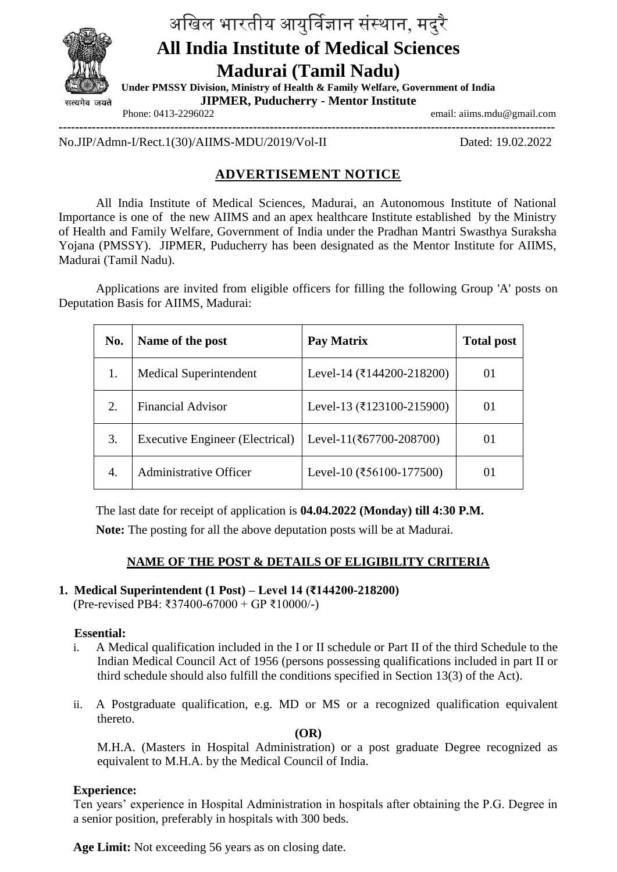

# अखिल भारतीय आयुर्विज्ञान संस्थान, मदुरै **All India Institute of Medical Sciences Madurai (Tamil Nadu) Under PMSSY Division, Ministry of Health & Family Welfare, Government of India**

**JIPMER, Puducherry - Mentor Institute**

Phone: 0413-2296022 email: aiims.mdu@gmail.com

**------------------------------------------------------------------------------------------------------------------------**

No.JIP/Admn-I/Rect.1(30)/AIIMS-MDU/2019/Vol-II Dated: 19.02.2022

# **ADVERTISEMENT NOTICE**

All India Institute of Medical Sciences, Madurai, an Autonomous Institute of National Importance is one of the new AIIMS and an apex healthcare Institute established by the Ministry of Health and Family Welfare, Government of India under the Pradhan Mantri Swasthya Suraksha Yojana (PMSSY). JIPMER, Puducherry has been designated as the Mentor Institute for AIIMS, Madurai (Tamil Nadu).

Applications are invited from eligible officers for filling the following Group 'A' posts on Deputation Basis for AIIMS, Madurai:

| No. | Name of the post                | Pay Matrix                               | <b>Total post</b> |
|-----|---------------------------------|------------------------------------------|-------------------|
|     | <b>Medical Superintendent</b>   | Level-14 (₹144200-218200)                | 01                |
| 2.  | <b>Financial Advisor</b>        | Level-13 (₹123100-215900)                | 01                |
| 3.  | Executive Engineer (Electrical) | Level-11( $\overline{\xi}$ 67700-208700) | $_{01}$           |
| 4.  | <b>Administrative Officer</b>   | Level-10 (₹56100-177500)                 | $_{01}$           |

The last date for receipt of application is **04.04.2022 (Monday) till 4:30 P.M.**

**Note:** The posting for all the above deputation posts will be at Madurai.

# **NAME OF THE POST & DETAILS OF ELIGIBILITY CRITERIA**

# **1. Medical Superintendent (1 Post) – Level 14 (₹144200-218200)**

(Pre-revised PB4: ₹37400-67000 + GP ₹10000/-)

#### **Essential:**

- i. A Medical qualification included in the I or II schedule or Part II of the third Schedule to the Indian Medical Council Act of 1956 (persons possessing qualifications included in part II or third schedule should also fulfill the conditions specified in Section 13(3) of the Act).
- ii. A Postgraduate qualification, e.g. MD or MS or a recognized qualification equivalent thereto.

#### **(OR)**

M.H.A. (Masters in Hospital Administration) or a post graduate Degree recognized as equivalent to M.H.A. by the Medical Council of India.

# **Experience:**

Ten years' experience in Hospital Administration in hospitals after obtaining the P.G. Degree in a senior position, preferably in hospitals with 300 beds.

**Age Limit:** Not exceeding 56 years as on closing date.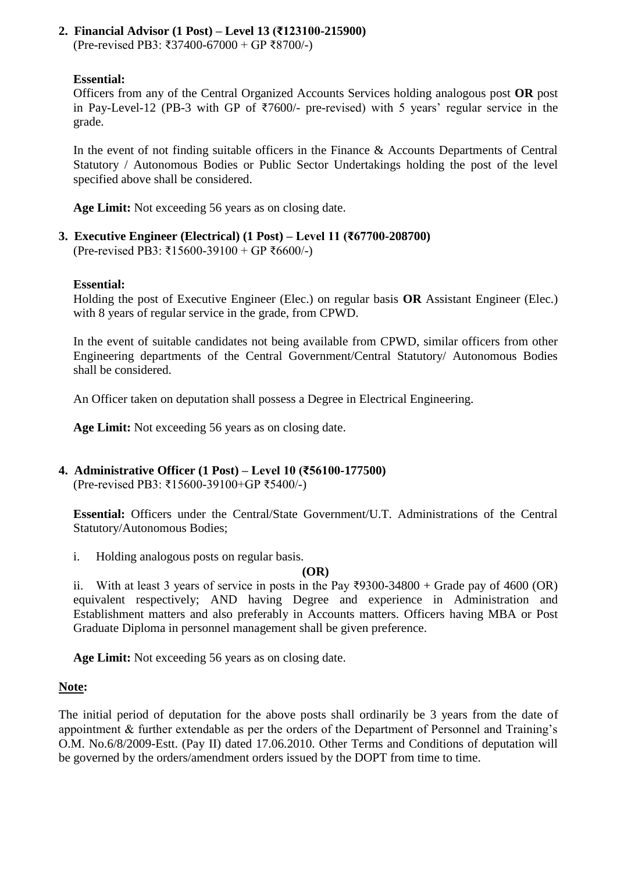#### **2. Financial Advisor (1 Post) – Level 13 (₹123100-215900)**  (Pre-revised PB3: ₹37400-67000 + GP ₹8700/-)

**Essential:** 

Officers from any of the Central Organized Accounts Services holding analogous post **OR** post in Pay-Level-12 (PB-3 with GP of ₹7600/- pre-revised) with 5 years' regular service in the grade.

In the event of not finding suitable officers in the Finance  $\&$  Accounts Departments of Central Statutory / Autonomous Bodies or Public Sector Undertakings holding the post of the level specified above shall be considered.

**Age Limit:** Not exceeding 56 years as on closing date.

**3. Executive Engineer (Electrical) (1 Post) – Level 11 (₹67700-208700)**  (Pre-revised PB3: ₹15600-39100 + GP ₹6600/-)

#### **Essential:**

Holding the post of Executive Engineer (Elec.) on regular basis **OR** Assistant Engineer (Elec.) with 8 years of regular service in the grade, from CPWD.

In the event of suitable candidates not being available from CPWD, similar officers from other Engineering departments of the Central Government/Central Statutory/ Autonomous Bodies shall be considered.

An Officer taken on deputation shall possess a Degree in Electrical Engineering.

**Age Limit:** Not exceeding 56 years as on closing date.

# **4. Administrative Officer (1 Post) – Level 10 (₹56100-177500)**

(Pre-revised PB3: ₹15600-39100+GP ₹5400/-)

**Essential:** Officers under the Central/State Government/U.T. Administrations of the Central Statutory/Autonomous Bodies;

i. Holding analogous posts on regular basis.

#### **(OR)**

ii. With at least 3 years of service in posts in the Pay  $\overline{2}9300-34800 +$  Grade pay of 4600 (OR) equivalent respectively; AND having Degree and experience in Administration and Establishment matters and also preferably in Accounts matters. Officers having MBA or Post Graduate Diploma in personnel management shall be given preference.

**Age Limit:** Not exceeding 56 years as on closing date.

# **Note:**

The initial period of deputation for the above posts shall ordinarily be 3 years from the date of appointment & further extendable as per the orders of the Department of Personnel and Training's O.M. No.6/8/2009-Estt. (Pay II) dated 17.06.2010. Other Terms and Conditions of deputation will be governed by the orders/amendment orders issued by the DOPT from time to time.